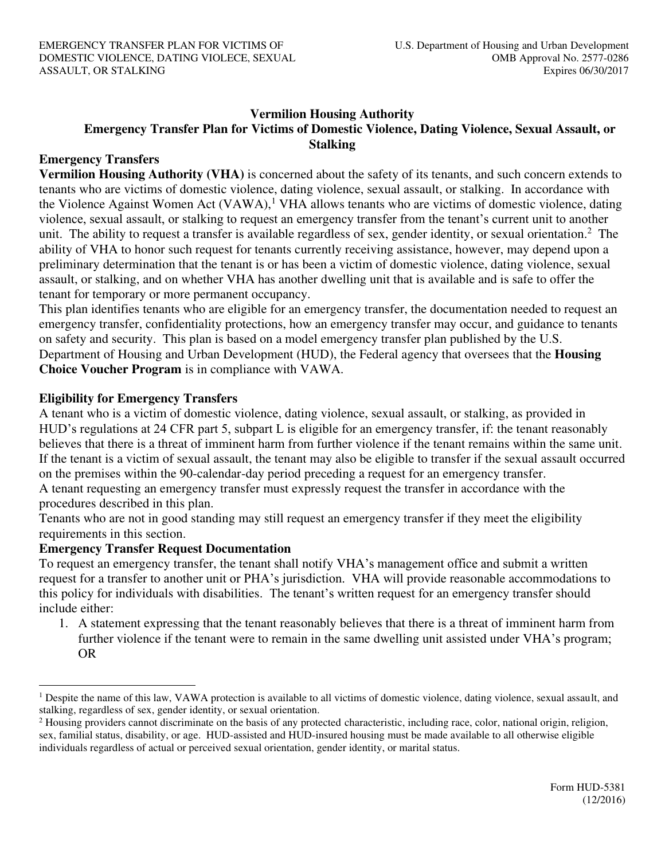### **Vermilion Housing Authority Emergency Transfer Plan for Victims of Domestic Violence, Dating Violence, Sexual Assault, or Stalking**

## **Emergency Transfers**

**Vermilion Housing Authority (VHA)** is concerned about the safety of its tenants, and such concern extends to tenants who are victims of domestic violence, dating violence, sexual assault, or stalking. In accordance with the Violence Against Women Act (VAWA),<sup>1</sup> VHA allows tenants who are victims of domestic violence, dating violence, sexual assault, or stalking to request an emergency transfer from the tenant's current unit to another unit. The ability to request a transfer is available regardless of sex, gender identity, or sexual orientation.<sup>2</sup> The ability of VHA to honor such request for tenants currently receiving assistance, however, may depend upon a preliminary determination that the tenant is or has been a victim of domestic violence, dating violence, sexual assault, or stalking, and on whether VHA has another dwelling unit that is available and is safe to offer the tenant for temporary or more permanent occupancy.

This plan identifies tenants who are eligible for an emergency transfer, the documentation needed to request an emergency transfer, confidentiality protections, how an emergency transfer may occur, and guidance to tenants on safety and security. This plan is based on a model emergency transfer plan published by the U.S. Department of Housing and Urban Development (HUD), the Federal agency that oversees that the **Housing Choice Voucher Program** is in compliance with VAWA.

## **Eligibility for Emergency Transfers**

A tenant who is a victim of domestic violence, dating violence, sexual assault, or stalking, as provided in HUD's regulations at 24 CFR part 5, subpart L is eligible for an emergency transfer, if: the tenant reasonably believes that there is a threat of imminent harm from further violence if the tenant remains within the same unit. If the tenant is a victim of sexual assault, the tenant may also be eligible to transfer if the sexual assault occurred on the premises within the 90-calendar-day period preceding a request for an emergency transfer. A tenant requesting an emergency transfer must expressly request the transfer in accordance with the procedures described in this plan.

Tenants who are not in good standing may still request an emergency transfer if they meet the eligibility requirements in this section.

#### **Emergency Transfer Request Documentation**

To request an emergency transfer, the tenant shall notify VHA's management office and submit a written request for a transfer to another unit or PHA's jurisdiction.VHA will provide reasonable accommodations to this policy for individuals with disabilities. The tenant's written request for an emergency transfer should include either:

1. A statement expressing that the tenant reasonably believes that there is a threat of imminent harm from further violence if the tenant were to remain in the same dwelling unit assisted under VHA's program; OR

<sup>&</sup>lt;sup>1</sup> Despite the name of this law, VAWA protection is available to all victims of domestic violence, dating violence, sexual assault, and stalking, regardless of sex, gender identity, or sexual orientation.

<sup>&</sup>lt;sup>2</sup> Housing providers cannot discriminate on the basis of any protected characteristic, including race, color, national origin, religion, sex, familial status, disability, or age. HUD-assisted and HUD-insured housing must be made available to all otherwise eligible individuals regardless of actual or perceived sexual orientation, gender identity, or marital status.